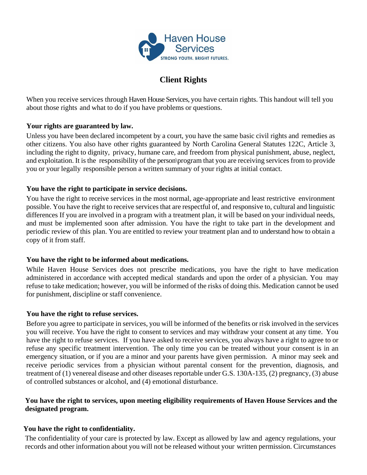

# **Client Rights**

When you receive services through Haven House Services, you have certain rights. This handout will tell you about those rights and what to do if you have problems or questions.

## **Your rights are guaranteed by law.**

Unless you have been declared incompetent by a court, you have the same basic civil rights and remedies as other citizens. You also have other rights guaranteed by North Carolina General Statutes 122C, Article 3, including the right to dignity, privacy, humane care, and freedom from physical punishment, abuse, neglect, and exploitation. It is the responsibility of the person\program that you are receiving services from to provide you or your legally responsible person a written summary of your rights at initial contact.

## **You have the right to participate in service decisions.**

You have the right to receive services in the most normal, age-appropriate and least restrictive environment possible. You have the right to receive services that are respectful of, and responsive to, cultural and linguistic differences If you are involved in a program with a treatment plan, it will be based on your individual needs, and must be implemented soon after admission. You have the right to take part in the development and periodic review of this plan. You are entitled to review your treatment plan and to understand how to obtain a copy of it from staff.

## **You have the right to be informed about medications.**

While Haven House Services does not prescribe medications, you have the right to have medication administered in accordance with accepted medical standards and upon the order of a physician. You may refuse to take medication; however, you will be informed of the risks of doing this. Medication cannot be used for punishment, discipline or staff convenience.

## **You have the right to refuse services.**

Before you agree to participate in services, you will be informed of the benefits or risk involved in the services you will receive. You have the right to consent to services and may withdraw your consent at any time. You have the right to refuse services. If you have asked to receive services, you always have a right to agree to or refuse any specific treatment intervention. The only time you can be treated without your consent is in an emergency situation, or if you are a minor and your parents have given permission. A minor may seek and receive periodic services from a physician without parental consent for the prevention, diagnosis, and treatment of (1) venereal disease and other diseases reportable under G.S. 130A-135, (2) pregnancy, (3) abuse of controlled substances or alcohol, and (4) emotional disturbance.

## **You have the right to services, upon meeting eligibility requirements of Haven House Services and the designated program.**

# **You have the right to confidentiality.**

The confidentiality of your care is protected by law. Except as allowed by law and agency regulations, your records and other information about you will not be released without your written permission. Circumstances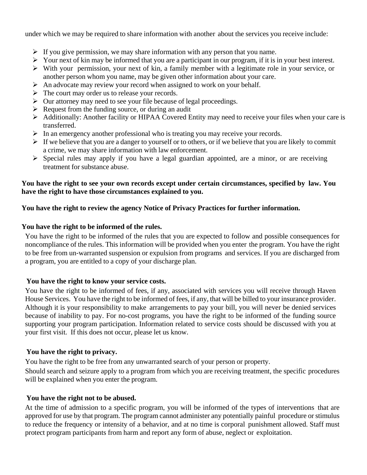under which we may be required to share information with another about the services you receive include:

- $\triangleright$  If you give permission, we may share information with any person that you name.
- ➢ Your next of kin may be informed that you are a participant in our program, if it is in your best interest.
- ➢ With your permission, your next of kin, a family member with a legitimate role in your service, or another person whom you name, may be given other information about your care.
- ➢ An advocate may review your record when assigned to work on your behalf.
- ➢ The court may order us to release your records.
- ➢ Our attorney may need to see your file because of legal proceedings.
- ➢ Request from the funding source, or during an audit
- ➢ Additionally: Another facility or HIPAA Covered Entity may need to receive your files when your care is transferred.
- ➢ In an emergency another professional who is treating you may receive your records.
- $\triangleright$  If we believe that you are a danger to yourself or to others, or if we believe that you are likely to commit a crime, we may share information with law enforcement.
- ➢ Special rules may apply if you have a legal guardian appointed, are a minor, or are receiving treatment for substance abuse.

#### **You have the right to see your own records except under certain circumstances, specified by law. You have the right to have those circumstances explained to you.**

## **You have the right to review the agency Notice of Privacy Practices for further information.**

#### **You have the right to be informed of the rules.**

You have the right to be informed of the rules that you are expected to follow and possible consequences for noncompliance of the rules. This information will be provided when you enter the program. You have the right to be free from un-warranted suspension or expulsion from programs and services. If you are discharged from a program, you are entitled to a copy of your discharge plan.

## **You have the right to know your service costs.**

You have the right to be informed of fees, if any, associated with services you will receive through Haven House Services. You have the right to be informed of fees, if any, that will be billed to your insurance provider. Although it is your responsibility to make arrangements to pay your bill, you will never be denied services because of inability to pay. For no-cost programs, you have the right to be informed of the funding source supporting your program participation. Information related to service costs should be discussed with you at your first visit. If this does not occur, please let us know.

## **You have the right to privacy.**

You have the right to be free from any unwarranted search of your person or property. Should search and seizure apply to a program from which you are receiving treatment, the specific procedures will be explained when you enter the program.

## **You have the right not to be abused.**

At the time of admission to a specific program, you will be informed of the types of interventions that are approved for use by that program. The program cannot administer any potentially painful procedure or stimulus to reduce the frequency or intensity of a behavior, and at no time is corporal punishment allowed. Staff must protect program participants from harm and report any form of abuse, neglect or exploitation.